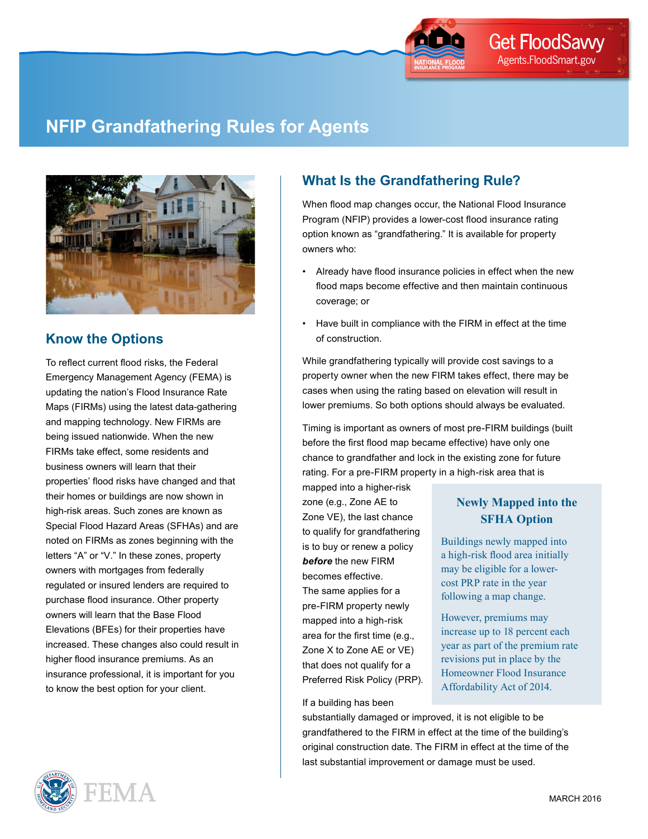

# **NFIP Grandfathering Rules for Agents**



### **Know the Options**

To reflect current flood risks, the Federal Emergency Management Agency (FEMA) is updating the nation's Flood Insurance Rate Maps (FIRMs) using the latest data-gathering and mapping technology. New FIRMs are being issued nationwide. When the new FIRMs take effect, some residents and business owners will learn that their properties' flood risks have changed and that their homes or buildings are now shown in high-risk areas. Such zones are known as Special Flood Hazard Areas (SFHAs) and are noted on FIRMs as zones beginning with the letters "A" or "V." In these zones, property owners with mortgages from federally regulated or insured lenders are required to purchase flood insurance. Other property owners will learn that the Base Flood Elevations (BFEs) for their properties have increased. These changes also could result in higher flood insurance premiums. As an insurance professional, it is important for you to know the best option for your client.



# **What Is the Grandfathering Rule?**

When flood map changes occur, the National Flood Insurance Program (NFIP) provides a lower-cost flood insurance rating option known as "grandfathering." It is available for property owners who:

- Already have flood insurance policies in effect when the new flood maps become effective and then maintain continuous coverage; or
- Have built in compliance with the FIRM in effect at the time of construction.

While grandfathering typically will provide cost savings to a property owner when the new FIRM takes effect, there may be cases when using the rating based on elevation will result in lower premiums. So both options should always be evaluated.

Timing is important as owners of most pre-FIRM buildings (built before the first flood map became effective) have only one chance to grandfather and lock in the existing zone for future rating. For a pre-FIRM property in a high-risk area that is

mapped into a higher-risk zone (e.g., Zone AE to Zone VE), the last chance to qualify for grandfathering is to buy or renew a policy *before* the new FIRM becomes effective. The same applies for a pre-FIRM property newly mapped into a high-risk area for the first time (e.g., Zone X to Zone AE or VE) that does not qualify for a Preferred Risk Policy (PRP).

#### If a building has been

### substantially damaged or improved, it is not eligible to be grandfathered to the FIRM in effect at the time of the building's original construction date. The FIRM in effect at the time of the last substantial improvement or damage must be used.

# **Newly Mapped into the SFHA Option**

Buildings newly mapped into a high-risk flood area initially may be eligible for a lowercost PRP rate in the year following a map change.

However, premiums may increase up to 18 percent each year as part of the premium rate revisions put in place by the Homeowner Flood Insurance Affordability Act of 2014.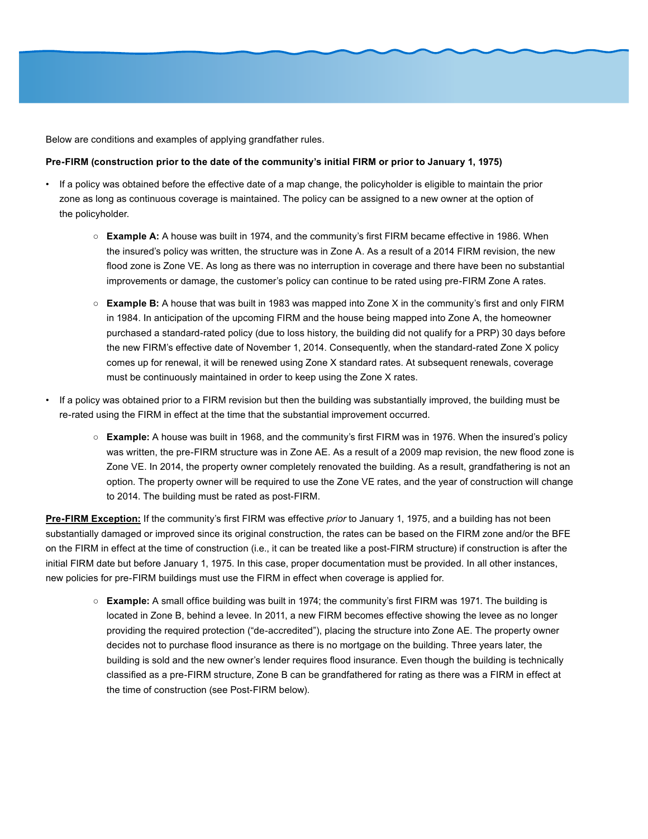Below are conditions and examples of applying grandfather rules.

#### **Pre-FIRM (construction prior to the date of the community's initial FIRM or prior to January 1, 1975)**

- If a policy was obtained before the effective date of a map change, the policyholder is eligible to maintain the prior zone as long as continuous coverage is maintained. The policy can be assigned to a new owner at the option of the policyholder.
	- **Example A:** A house was built in 1974, and the community's first FIRM became effective in 1986. When the insured's policy was written, the structure was in Zone A. As a result of a 2014 FIRM revision, the new flood zone is Zone VE. As long as there was no interruption in coverage and there have been no substantial improvements or damage, the customer's policy can continue to be rated using pre-FIRM Zone A rates.
	- **Example B:** A house that was built in 1983 was mapped into Zone X in the community's first and only FIRM in 1984. In anticipation of the upcoming FIRM and the house being mapped into Zone A, the homeowner purchased a standard-rated policy (due to loss history, the building did not qualify for a PRP) 30 days before the new FIRM's effective date of November 1, 2014. Consequently, when the standard-rated Zone X policy comes up for renewal, it will be renewed using Zone X standard rates. At subsequent renewals, coverage must be continuously maintained in order to keep using the Zone X rates.
- If a policy was obtained prior to a FIRM revision but then the building was substantially improved, the building must be re-rated using the FIRM in effect at the time that the substantial improvement occurred.
	- **Example:** A house was built in 1968, and the community's first FIRM was in 1976. When the insured's policy was written, the pre-FIRM structure was in Zone AE. As a result of a 2009 map revision, the new flood zone is Zone VE. In 2014, the property owner completely renovated the building. As a result, grandfathering is not an option. The property owner will be required to use the Zone VE rates, and the year of construction will change to 2014. The building must be rated as post-FIRM.

**Pre-FIRM Exception:** If the community's first FIRM was effective *prior* to January 1, 1975, and a building has not been substantially damaged or improved since its original construction, the rates can be based on the FIRM zone and/or the BFE on the FIRM in effect at the time of construction (i.e., it can be treated like a post-FIRM structure) if construction is after the initial FIRM date but before January 1, 1975. In this case, proper documentation must be provided. In all other instances, new policies for pre-FIRM buildings must use the FIRM in effect when coverage is applied for.

○ **Example:** A small office building was built in 1974; the community's first FIRM was 1971. The building is located in Zone B, behind a levee. In 2011, a new FIRM becomes effective showing the levee as no longer providing the required protection ("de-accredited"), placing the structure into Zone AE. The property owner decides not to purchase flood insurance as there is no mortgage on the building. Three years later, the building is sold and the new owner's lender requires flood insurance. Even though the building is technically classified as a pre-FIRM structure, Zone B can be grandfathered for rating as there was a FIRM in effect at the time of construction (see Post-FIRM below).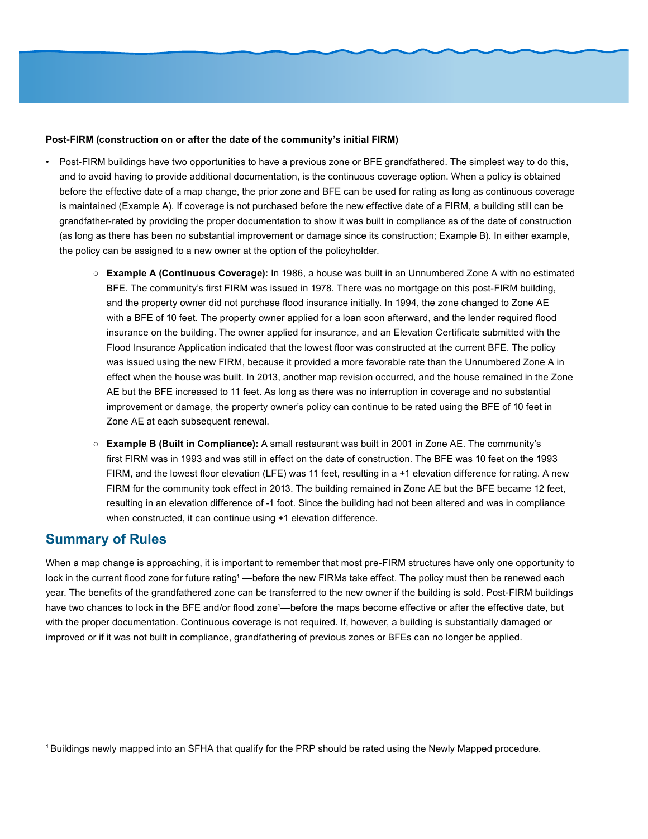#### **Post-FIRM (construction on or after the date of the community's initial FIRM)**

- Post-FIRM buildings have two opportunities to have a previous zone or BFE grandfathered. The simplest way to do this, and to avoid having to provide additional documentation, is the continuous coverage option. When a policy is obtained before the effective date of a map change, the prior zone and BFE can be used for rating as long as continuous coverage is maintained (Example A). If coverage is not purchased before the new effective date of a FIRM, a building still can be grandfather-rated by providing the proper documentation to show it was built in compliance as of the date of construction (as long as there has been no substantial improvement or damage since its construction; Example B). In either example, the policy can be assigned to a new owner at the option of the policyholder.
	- **Example A (Continuous Coverage):** In 1986, a house was built in an Unnumbered Zone A with no estimated BFE. The community's first FIRM was issued in 1978. There was no mortgage on this post-FIRM building, and the property owner did not purchase flood insurance initially. In 1994, the zone changed to Zone AE with a BFE of 10 feet. The property owner applied for a loan soon afterward, and the lender required flood insurance on the building. The owner applied for insurance, and an Elevation Certificate submitted with the Flood Insurance Application indicated that the lowest floor was constructed at the current BFE. The policy was issued using the new FIRM, because it provided a more favorable rate than the Unnumbered Zone A in effect when the house was built. In 2013, another map revision occurred, and the house remained in the Zone AE but the BFE increased to 11 feet. As long as there was no interruption in coverage and no substantial improvement or damage, the property owner's policy can continue to be rated using the BFE of 10 feet in Zone AE at each subsequent renewal.
	- **Example B (Built in Compliance):** A small restaurant was built in 2001 in Zone AE. The community's first FIRM was in 1993 and was still in effect on the date of construction. The BFE was 10 feet on the 1993 FIRM, and the lowest floor elevation (LFE) was 11 feet, resulting in a +1 elevation difference for rating. A new FIRM for the community took effect in 2013. The building remained in Zone AE but the BFE became 12 feet, resulting in an elevation difference of -1 foot. Since the building had not been altered and was in compliance when constructed, it can continue using +1 elevation difference.

### **Summary of Rules**

When a map change is approaching, it is important to remember that most pre-FIRM structures have only one opportunity to lock in the current flood zone for future rating<sup>1</sup>—before the new FIRMs take effect. The policy must then be renewed each year. The benefits of the grandfathered zone can be transferred to the new owner if the building is sold. Post-FIRM buildings have two chances to lock in the BFE and/or flood zone<sup>1</sup>—before the maps become effective or after the effective date, but with the proper documentation. Continuous coverage is not required. If, however, a building is substantially damaged or improved or if it was not built in compliance, grandfathering of previous zones or BFEs can no longer be applied.

1 Buildings newly mapped into an SFHA that qualify for the PRP should be rated using the Newly Mapped procedure.